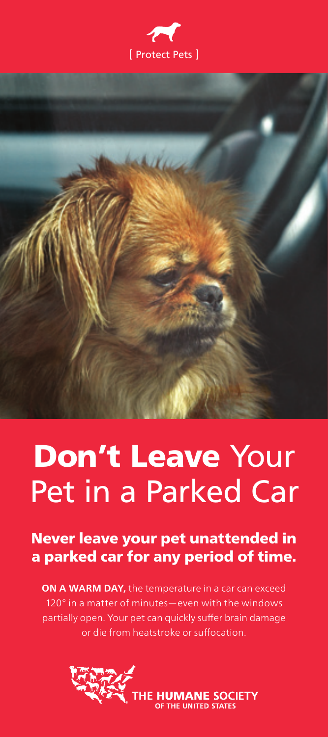



## Don't Leave Your Pet in a Parked Car

Never leave your pet unattended in a parked car for any period of time.

**ON A WARM DAY, the temperature in a car can exceed** 120° in a matter of minutes—even with the windows partially open. Your pet can quickly suffer brain damage or die from heatstroke or suffocation.